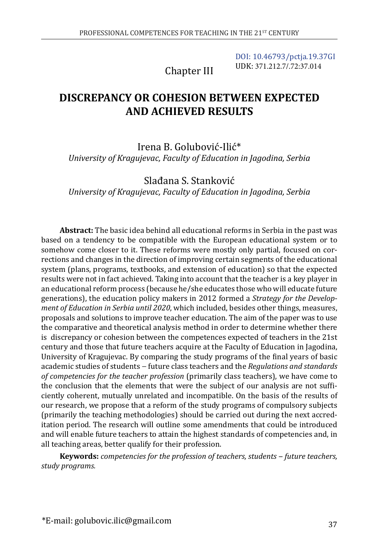Chapter III

[DOI: 10.46793/pctja.19.37GI](https://doi.org/10.46793/pctja.19.37GI) UDK: 371.212.7/.72:37.014

# **DISCREPANCY OR COHESION BETWEEN EXPECTED AND ACHIEVED RESULTS**

Irena B. Golubović-Ilić\* *University of Kragujevac, Faculty of Education in Jagodina, Serbia*

Slađana S. Stanković *University of Kragujevac, Faculty of Education in Jagodina, Serbia*

**Abstract:** The basic idea behind all educational reforms in Serbia in the past was based on a tendency to be compatible with the European educational system or to somehow come closer to it. These reforms were mostly only partial, focused on corrections and changes in the direction of improving certain segments of the educational system (plans, programs, textbooks, and extension of education) so that the expected results were not in fact achieved. Taking into account that the teacher is a key player in an educational reform process (because he/she educates those who will educate future generations), the education policy makers in 2012 formed a *Strategy for the Development of Education in Serbia until 2020*, which included, besides other things, measures, proposals and solutions to improve teacher education. The aim of the paper was to use the comparative and theoretical analysis method in order to determine whether there is discrepancy or cohesion between the competences expected of teachers in the 21st century and those that future teachers acquire at the Faculty of Education in Jagodina, University of Kragujevac. By comparing the study programs of the final years of basic academic studies of students − future class teachers and the *Regulations and standards of competencies for the teacher profession* (primarily class teachers), we have come to the conclusion that the elements that were the subject of our analysis are not sufficiently coherent, mutually unrelated and incompatible. On the basis of the results of our research, we propose that a reform of the study programs of compulsory subjects (primarily the teaching methodologies) should be carried out during the next accreditation period. The research will outline some amendments that could be introduced and will enable future teachers to attain the highest standards of competencies and, in all teaching areas, better qualify for their profession.

**Keywords:** *competencies for the profession of teachers, students ‒ future teachers, study programs.*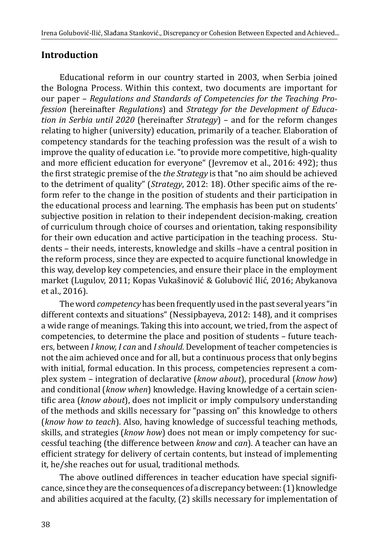### **Introduction**

Educational reform in our country started in 2003, when Serbia joined the Bologna Process. Within this context, two documents are important for our paper – *Regulations and Standards of Competencies for the Teaching Profession* (hereinafter *Regulations*) and *Strategy for the Development of Education in Serbia until 2020* (hereinafter *Strategy*) – and for the reform changes relating to higher (university) education, primarily of a teacher. Elaboration of competency standards for the teaching profession was the result of a wish to improve the quality of education i.e. "to provide more competitive, high-quality and more efficient education for everyone" (Jevremov et al., 2016: 492); thus the first strategic premise of the *the Strategy* is that "no aim should be achieved to the detriment of quality" (*Strategy*, 2012: 18). Оther specific aims of the reform refer to the change in the position of students and their participation in the educational process and learning. The emphasis has been put on students' subjective position in relation to their independent decision-making, creation of curriculum through choice of courses and orientation, taking responsibility for their own education and active participation in the teaching process. Students – their needs, interests, knowledge and skills –have a central position in the reform process, since they are expected to acquire functional knowledge in this way, develop key competencies, and ensure their place in the employment market (Lugulov, 2011; Kopas Vukašinović & Golubović Ilić, 2016; Abykanova et al., 2016).

The word *competency* has been frequently used in the past several years "in different contexts and situations" (Nessipbayeva, 2012: 148), and it comprises a wide range of meanings. Taking this into account, we tried, from the aspect of competencies, to determine the place and position of students – future teachers, between *I know, I can* and *I should.* Development of teacher competencies is not the aim achieved once and for all, but a continuous process that only begins with initial, formal education. In this process, competencies represent a complex system – integration of declarative (*know about*), procedural (*know how*) and conditional (*know when*) knowledge. Having knowledge of a certain scientific area (*know about*), does not implicit or imply compulsory understanding of the methods and skills necessary for "passing on" this knowledge to others (*know how to teach*). Also, having knowledge of successful teaching methods, skills, and strategies (*know how*) does not mean or imply competency for successful teaching (the difference between *know* and *can*). A teacher can have an efficient strategy for delivery of certain contents, but instead of implementing it, he/she reaches out for usual, traditional methods.

The above outlined differences in teacher education have special significance, since they are the consequences of a discrepancy between: (1) knowledge and abilities acquired at the faculty, (2) skills necessary for implementation of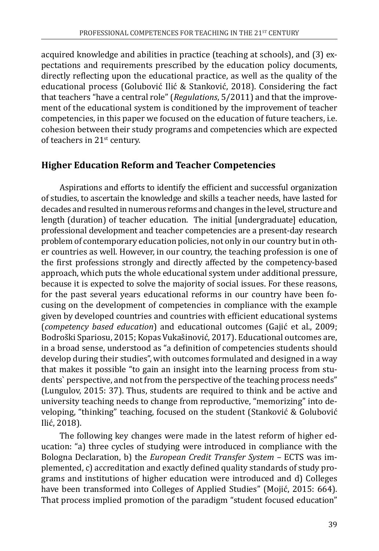acquired knowledge and abilities in practice (teaching at schools), and (3) expectations and requirements prescribed by the education policy documents, directly reflecting upon the educational practice, as well as the quality of the educational process (Golubović Ilić & Stanković, 2018). Considering the fact that teachers "have a central role" (*Regulations*, 5/2011) and that the improvement of the educational system is conditioned by the improvement of teacher competencies, in this paper we focused on the education of future teachers, i.e. cohesion between their study programs and competencies which are expected of teachers in 21<sup>st</sup> century.

#### **Higher Education Reform and Teacher Competencies**

Aspirations and efforts to identify the efficient and successful organization of studies, to ascertain the knowledge and skills a teacher needs, have lasted for decades and resulted in numerous reforms and changes in the level, structure and length (duration) of teacher education. The initial [undergraduate] education, professional development and teacher competencies are a present-day research problem of contemporary education policies, not only in our country but in other countries as well. However, in our country, the teaching profession is one of the first professions strongly and directly affected by the competency-based approach, which puts the whole educational system under additional pressure, because it is expected to solve the majority of social issues. For these reasons, for the past several years educational reforms in our country have been focusing on the development of competencies in compliance with the example given by developed countries and countries with efficient educational systems (*competency based education*) and educational outcomes (Gajić et al., 2009; Bodroški Spariosu, 2015; Kopas Vukašinović, 2017). Educational outcomes are, in a broad sense, understood as "a definition of competencies students should develop during their studies", with outcomes formulated and designed in a way that makes it possible "to gain an insight into the learning process from students` perspective, and not from the perspective of the teaching process needs" (Lungulov, 2015: 37). Thus, students are required to think and be active and university teaching needs to change from reproductive, "memorizing" into developing, "thinking" teaching, focused on the student (Stanković & Golubović Ilić, 2018).

The following key changes were made in the latest reform of higher education: "a) three cycles of studying were introduced in compliance with the Bologna Declaration, b) the *European Credit Transfer System* – ЕСTS was implemented, c) accreditation and exactly defined quality standards of study programs and institutions of higher education were introduced and d) Colleges have been transformed into Colleges of Applied Studies" (Mojić, 2015: 664). That process implied promotion of the paradigm "student focused education"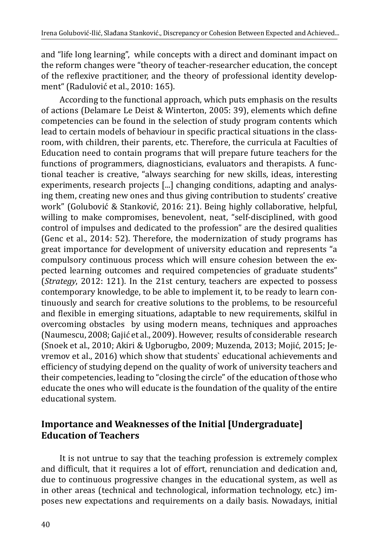and "life long learning", while concepts with a direct and dominant impact on the reform changes were "theory of teacher-researcher education, the concept of the reflexive practitioner, and the theory of professional identity development" (Radulović et al., 2010: 165).

According to the functional approach, which puts emphasis on the results of actions (Delamare Le Deist & Winterton, 2005: 39), elements which define competencies can be found in the selection of study program contents which lead to certain models of behaviour in specific practical situations in the classroom, with children, their parents, etc. Therefore, the curricula at Faculties of Education need to contain programs that will prepare future teachers for the functions of programmers, diagnosticians, evaluators and therapists. A functional teacher is creative, "always searching for new skills, ideas, interesting experiments, research projects [...] changing conditions, adapting and analysing them, creating new ones and thus giving contribution to students' creative work" (Golubović & Stanković, 2016: 21). Being highly collaborative, helpful, willing to make compromises, benevolent, neat, "self-disciplined, with good control of impulses and dedicated to the profession" are the desired qualities (Genc et al., 2014: 52). Therefore, the modernization of study programs has great importance for development of university education and represents "a compulsory continuous process which will ensure cohesion between the expected learning outcomes and required competencies of graduate students" (*Strategy*, 2012: 121). In the 21st century, teachers are expected to possess contemporary knowledge, to be able to implement it, to be ready to learn continuously and search for creative solutions to the problems, to be resourceful and flexible in emerging situations, adaptable to new requirements, skilful in overcoming obstacles by using modern means, techniques and approaches (Naumescu, 2008; Gajić et al., 2009). However, results of considerable research (Snoek et al., 2010; Akiri & Ugborugbo, 2009; Muzenda, 2013; Mojić, 2015; Jevremov et al., 2016) which show that students` educational achievements and efficiency of studying depend on the quality of work of university teachers and their competencies, leading to "closing the circle" of the education of those who educate the ones who will educate is the foundation of the quality of the entire educational system.

### **Importance and Weaknesses of the Initial [Undergraduate] Education of Teachers**

It is not untrue to say that the teaching profession is extremely complex and difficult, that it requires a lot of effort, renunciation and dedication and, due to continuous progressive changes in the educational system, as well as in other areas (technical and technological, information technology, etc.) imposes new expectations and requirements on a daily basis. Nowadays, initial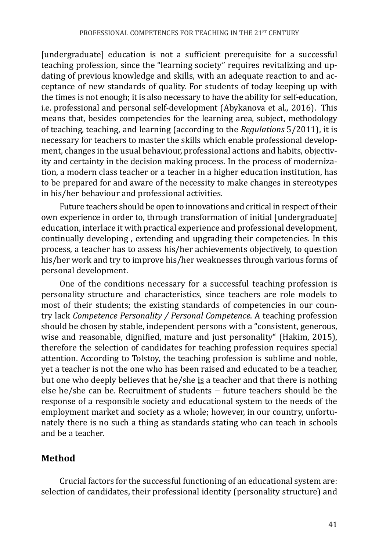[undergraduate] education is not a sufficient prerequisite for a successful teaching profession, since the "learning society" requires revitalizing and updating of previous knowledge and skills, with an adequate reaction to and acceptance of new standards of quality. For students of today keeping up with the times is not enough; it is also necessary to have the ability for self-education, i.e. professional and personal self-development (Abykanova et al., 2016). This means that, besides competencies for the learning area, subject, methodology of teaching, teaching, and learning (according to the *Regulations* 5/2011), it is necessary for teachers to master the skills which enable professional development, changes in the usual behaviour, professional actions and habits, objectivity and certainty in the decision making process. In the process of modernization, a modern class teacher or a teacher in a higher education institution, has to be prepared for and aware of the necessity to make changes in stereotypes in his/her behaviour and professional activities.

Future teachers should be open to innovations and critical in respect of their own experience in order to, through transformation of initial [undergraduate] education, interlace it with practical experience and professional development, continually developing , extending and upgrading their competencies. In this process, a teacher has to assess his/her achievements objectively, to question his/her work and try to improve his/her weaknesses through various forms of personal development.

One of the conditions necessary for a successful teaching profession is personality structure and characteristics, since teachers are role models to most of their students; the existing standards of competencies in our country lack *Competence Personality / Personal Competence*. A teaching profession should be chosen by stable, independent persons with a "consistent, generous, wise and reasonable, dignified, mature and just personality" (Hakim, 2015), therefore the selection of candidates for teaching profession requires special attention. According to Tolstoy, the teaching profession is sublime and noble, yet a teacher is not the one who has been raised and educated to be a teacher, but one who deeply believes that he/she is a teacher and that there is nothing else he/she can be. Recruitment of students − future teachers should be the response of a responsible society and educational system to the needs of the employment market and society as a whole; however, in our country, unfortunately there is no such a thing as standards stating who can teach in schools and be a teacher.

# **Method**

Crucial factors for the successful functioning of an educational system are: selection of candidates, their professional identity (personality structure) and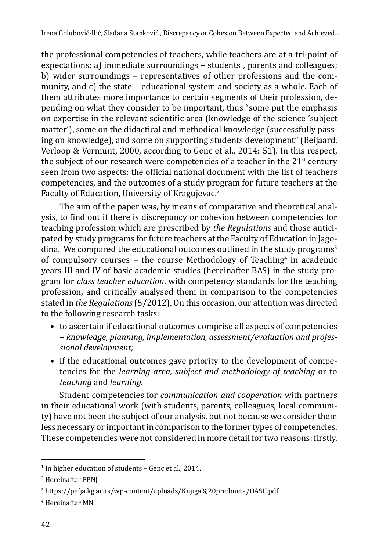the professional competencies of teachers, while teachers are at a tri-point of expectations: a) immediate surroundings – students<sup>1</sup>, parents and colleagues; b) wider surroundings – representatives of other professions and the community, and c) the state – educational system and society as a whole. Each of them attributes more importance to certain segments of their profession, depending on what they consider to be important, thus "some put the emphasis on expertise in the relevant scientific area (knowledge of the science 'subject matter'), some on the didactical and methodical knowledge (successfully passing on knowledge), and some on supporting students development" (Beijaard, Verloop & Vermunt, 2000, according to Genc et al., 2014: 51). In this respect, the subject of our research were competencies of a teacher in the  $21<sup>st</sup>$  century seen from two aspects: the official national document with the list of teachers competencies, and the outcomes of a study program for future teachers at the Faculty of Education, University of Kragujevac.<sup>2</sup>

The aim of the paper was, by means of comparative and theoretical analysis, to find out if there is discrepancy or cohesion between competencies for teaching profession which are prescribed by *the Regulations* and those anticipated by study programs for future teachers at the Faculty of Education in Jagodina. We compared the educational outcomes outlined in the study programs<sup>3</sup> of compulsory courses – the course Methodology of Teaching<sup>4</sup> in academic years III and IV of basic academic studies (hereinafter BAS) in the study program for *class teacher education*, with competency standards for the teaching profession, and critically analysed them in comparison to the competencies stated in *the Regulations* (5/2012). On this occasion, our attention was directed to the following research tasks:

- to ascertain if educational outcomes comprise all aspects of competencies ‒ *knowledge, planning, implementation, assessment/evaluation and professional development;*
- if the educational outcomes gave priority to the development of competencies for the *learning area, subject and methodology of teaching* or to *teaching* and *learning.*

Student competencies for *communication and cooperation* with partners in their educational work (with students, parents, colleagues, local community) have not been the subject of our analysis, but not because we consider them less necessary or important in comparison to the former types of competencies. These competencies were not considered in more detail for two reasons: firstly,

<sup>1</sup> In higher education of students – Genc et al., 2014.

<sup>2</sup> Hereinafter FPNJ

<sup>3</sup> https://pefja.kg.ac.rs/wp-content/uploads/Knjiga%20predmeta/OASU.pdf

<sup>4</sup> Hereinafter MN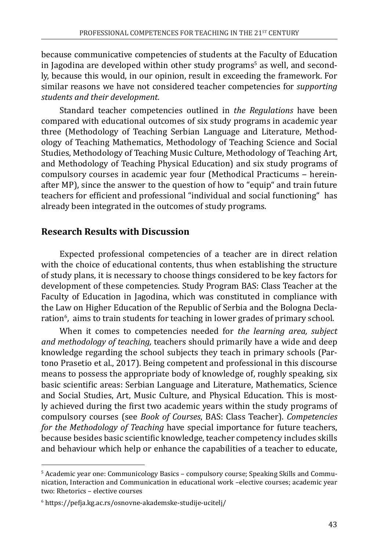because communicative competencies of students at the Faculty of Education in Jagodina are developed within other study programs<sup>s</sup> as well, and secondly, because this would, in our opinion, result in exceeding the framework. For similar reasons we have not considered teacher competencies for *supporting students and their development.* 

Standard teacher competencies outlined in *the Regulations* have been compared with educational outcomes of six study programs in academic year three (Methodology of Teaching Serbian Language and Literature, Methodology of Teaching Mathematics, Methodology of Teaching Science and Social Studies, Methodology of Teaching Music Culture, Methodology of Teaching Art, and Methodology of Teaching Physical Education) and six study programs of compulsory courses in academic year four (Methodical Practicums - hereinafter МP), since the answer to the question of how to "equip" and train future teachers for efficient and professional "individual and social functioning" has already been integrated in the outcomes of study programs.

### **Research Results with Discussion**

Expected professional competencies of a teacher are in direct relation with the choice of educational contents, thus when establishing the structure of study plans, it is necessary to choose things considered to be key factors for development of these competencies. Study Program BAS: Class Teacher at the Faculty of Education in Jagodina, which was constituted in compliance with the Law on Higher Education of the Republic of Serbia and the Bologna Declaration<sup>6</sup>, aims to train students for teaching in lower grades of primary school.

When it comes to competencies needed for *the learning area, subject and methodology of teaching,* teachers should primarily have a wide and deep knowledge regarding the school subjects they teach in primary schools (Partono Prasetio et al., 2017). Being competent and professional in this discourse means to possess the appropriate body of knowledge of, roughly speaking, six basic scientific areas: Serbian Language and Literature, Mathematics, Science and Social Studies, Art, Music Culture, and Physical Education. This is mostly achieved during the first two academic years within the study programs of compulsory courses (see *Book of Courses*, BAS: Class Teacher). *Competencies for the Methodology of Teaching* have special importance for future teachers, because besides basic scientific knowledge, teacher competency includes skills and behaviour which help or enhance the capabilities of a teacher to educate,

<sup>5</sup> Academic year one: Communicology Basics – compulsory course; Speaking Skills and Communication, Interaction and Communication in educational work –elective courses; academic year two: Rhetorics – elective courses

<sup>6</sup> https://pefja.kg.ac.rs/osnovne-akademske-studije-ucitelj/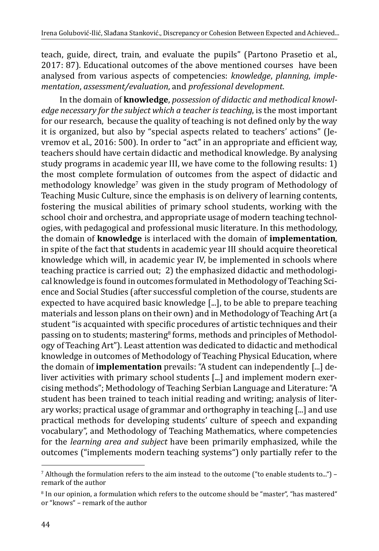teach, guide, direct, train, and evaluate the pupils" (Partono Prasetio et al., 2017: 87). Educational outcomes of the above mentioned courses have been analysed from various aspects of competencies: *knowledge*, *planning*, *implementation*, *assessment/evaluation*, and *professional development.*

In the domain of **knowledge**, *possession of didactic and methodical knowledge necessary for the subject which a teacher is teaching*, is the most important for our research, because the quality of teaching is not defined only by the way it is organized, but also by "special aspects related to teachers' actions" (Jevremov et al., 2016: 500). In order to "act" in an appropriate and efficient way, teachers should have certain didactic and methodical knowledge. By analysing study programs in academic year III, we have come to the following results: 1) the most complete formulation of outcomes from the aspect of didactic and methodology knowledge<sup>,</sup> was given in the study program of Methodology of Teaching Music Culture, since the emphasis is on delivery of learning contents, fostering the musical abilities of primary school students, working with the school choir and orchestra, and appropriate usage of modern teaching technologies, with pedagogical and professional music literature. In this methodology, the domain of **knowledge** is interlaced with the domain of **implementation**, in spite of the fact that students in academic year III should acquire theoretical knowledge which will, in academic year IV, be implemented in schools where teaching practice is carried out; 2) the emphasized didactic and methodological knowledge is found in outcomes formulated in Methodology of Teaching Science and Social Studies (after successful completion of the course, students are expected to have acquired basic knowledge [...], to be able to prepare teaching materials and lesson plans on their own) and in Methodology of Teaching Art (a student "is acquainted with specific procedures of artistic techniques and their passing on to students; mastering<sup>8</sup> forms, methods and principles of Methodology of Teaching Art"). Least attention was dedicated to didactic and methodical knowledge in outcomes of Methodology of Teaching Physical Education, where the domain of **implementation** prevails: "A student can independently [...] deliver activities with primary school students [...] and implement modern exercising methods"; Methodology of Teaching Serbian Language and Literature: "A student has been trained to teach initial reading and writing; analysis of literary works; practical usage of grammar and orthography in teaching [...] and use practical methods for developing students' culture of speech and expanding vocabulary", and Methodology of Teaching Mathematics, where competencies for the *learning area and subject* have been primarily emphasized, while the outcomes ("implements modern teaching systems") only partially refer to the

 $^7$  Although the formulation refers to the aim instead  $% \mathcal{L}_{\mathrm{F}}$  to  $\mathcal{L}_{\mathrm{F}}$  to enable students to...") – remark of the author

<sup>&</sup>lt;sup>8</sup> In our opinion, a formulation which refers to the outcome should be "master", "has mastered" or "knows" – remark of the author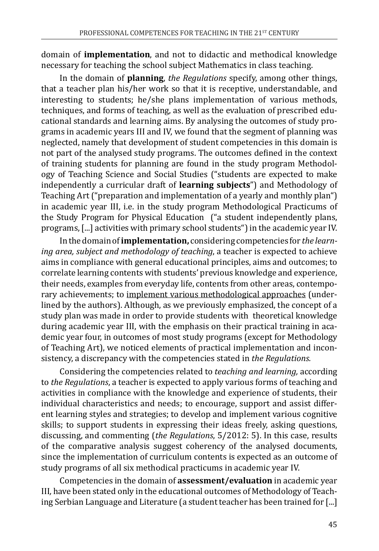domain of **implementation**, and not to didactic and methodical knowledge necessary for teaching the school subject Mathematics in class teaching.

In the domain of **planning**, *the Regulations* specify, among other things, that a teacher plan his/her work so that it is receptive, understandable, and interesting to students; he/she plans implementation of various methods, techniques, and forms of teaching, as well as the evaluation of prescribed educational standards and learning aims. By analysing the outcomes of study programs in academic years III and IV, we found that the segment of planning was neglected, namely that development of student competencies in this domain is not part of the analysed study programs. The outcomes defined in the context of training students for planning are found in the study program Methodology of Teaching Science and Social Studies ("students are expected to make independently a curricular draft of **learning subjects**") and Methodology of Teaching Art ("preparation and implementation of a yearly and monthly plan") in academic year III, i.e. in the study program Methodological Practicums of the Study Program for Physical Education ("a student independently plans, programs, [...] activities with primary school students") in the academic year IV.

In the domain of **implementation,** considering competencies for *the learning area, subject and methodology of teaching*, a teacher is expected to achieve aims in compliance with general educational principles, aims and outcomes; to correlate learning contents with students' previous knowledge and experience, their needs, examples from everyday life, contents from other areas, contemporary achievements; to implement various methodological approaches (underlined by the authors). Although, as we previously emphasized, the concept of a study plan was made in order to provide students with theoretical knowledge during academic year III, with the emphasis on their practical training in academic year four, in outcomes of most study programs (except for Methodology of Teaching Art), we noticed elements of practical implementation and inconsistency, a discrepancy with the competencies stated in *the Regulations.* 

Considering the competencies related to *teaching and learning,* according to *the Regulations*, a teacher is expected to apply various forms of teaching and activities in compliance with the knowledge and experience of students, their individual characteristics and needs; to encourage, support and assist different learning styles and strategies; to develop and implement various cognitive skills; to support students in expressing their ideas freely, asking questions, discussing, and commenting (*the Regulations*, 5/2012: 5). In this case, results of the comparative analysis suggest coherency of the analysed documents, since the implementation of curriculum contents is expected as an outcome of study programs of all six methodical practicums in academic year IV.

Competencies in the domain of **assessment/evaluation** in academic year III*,* have been stated only in the educational outcomes of Methodology of Teaching Serbian Language and Literature (a student teacher has been trained for [...]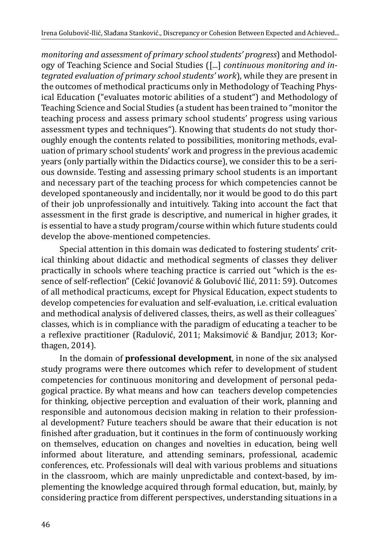*monitoring and assessment of primary school students' progress*) and Methodology of Teaching Science and Social Studies ([...] *continuous monitoring and integrated evaluation of primary school students' work*), while they are present in the outcomes of methodical practicums only in Methodology of Teaching Physical Education ("evaluates motoric abilities of a student") and Methodology of Teaching Science and Social Studies (a student has been trained to "monitor the teaching process and assess primary school students' progress using various assessment types and techniques"). Knowing that students do not study thoroughly enough the contents related to possibilities, monitoring methods, evaluation of primary school students' work and progress in the previous academic years (only partially within the Didactics course), we consider this to be a serious downside. Testing and assessing primary school students is an important and necessary part of the teaching process for which competencies cannot be developed spontaneously and incidentally, nor it would be good to do this part of their job unprofessionally and intuitively. Taking into account the fact that assessment in the first grade is descriptive, and numerical in higher grades, it is essential to have a study program/course within which future students could develop the above-mentioned competencies.

Special attention in this domain was dedicated to fostering students' critical thinking about didactic and methodical segments of classes they deliver practically in schools where teaching practice is carried out "which is the essence of self-reflection" (Cekić Jovanović & Golubović Ilić, 2011: 59). Outcomes of all methodical practicums, except for Physical Education, expect students to develop competencies for evaluation and self-evaluation, i.e. critical evaluation and methodical analysis of delivered classes, theirs, as well as their colleagues` classes, which is in compliance with the paradigm of educating a teacher to be a reflexive practitioner (Radulović, 2011; Maksimović & Bandjur, 2013; Korthagen, 2014).

In the domain of **professional development**, in none of the six analysed study programs were there outcomes which refer to development of student competencies for continuous monitoring and development of personal pedagogical practice. By what means and how can teachers develop competencies for thinking, objective perception and evaluation of their work, planning and responsible and autonomous decision making in relation to their professional development? Future teachers should be aware that their education is not finished after graduation, but it continues in the form of continuously working on themselves, education on changes and novelties in education, being well informed about literature, and attending seminars, professional, academic conferences, etc. Professionals will deal with various problems and situations in the classroom, which are mainly unpredictable and context-based, by implementing the knowledge acquired through formal education, but, mainly, by considering practice from different perspectives, understanding situations in a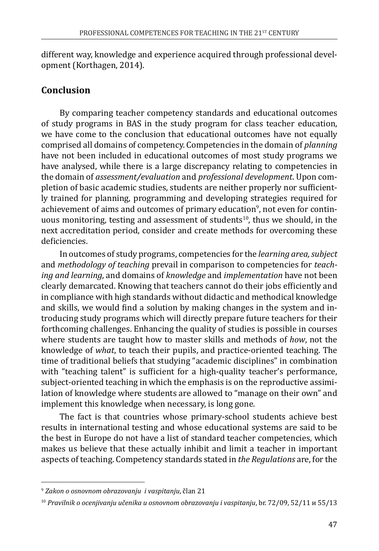different way, knowledge and experience acquired through professional development (Korthagen, 2014).

# **Conclusion**

By comparing teacher competency standards and educational outcomes of study programs in BAS in the study program for class teacher education, we have come to the conclusion that educational outcomes have not equally comprised all domains of competency. Competencies in the domain of *planning* have not been included in educational outcomes of most study programs we have analysed, while there is a large discrepancy relating to competencies in the domain of *assessment/evaluation* and *professional development*. Upon completion of basic academic studies, students are neither properly nor sufficiently trained for planning, programming and developing strategies required for achievement of aims and outcomes of primary education<sup>9</sup>, not even for contin<mark>-</mark> uous monitoring, testing and assessment of students<sup>10</sup>, thus we should, in the next accreditation period, consider and create methods for overcoming these deficiencies.

In outcomes of study programs, competencies for the *learning area, subject*  and *methodology of teaching* prevail in comparison to competencies for *teaching and learning*, and domains of *knowledge* and *implementation* have not been clearly demarcated. Knowing that teachers cannot do their jobs efficiently and in compliance with high standards without didactic and methodical knowledge and skills, we would find a solution by making changes in the system and introducing study programs which will directly prepare future teachers for their forthcoming challenges. Enhancing the quality of studies is possible in courses where students are taught how to master skills and methods of *how*, not the knowledge of *what*, to teach their pupils, and practice-oriented teaching. The time of traditional beliefs that studying "academic disciplines" in combination with "teaching talent" is sufficient for a high-quality teacher's performance, subject-oriented teaching in which the emphasis is on the reproductive assimilation of knowledge where students are allowed to "manage on their own" and implement this knowledge when necessary, is long gone.

The fact is that countries whose primary-school students achieve best results in international testing and whose educational systems are said to be the best in Europe do not have a list of standard teacher competencies, which makes us believe that these actually inhibit and limit a teacher in important aspects of teaching. Competency standards stated in *the Regulations* are, for the

<sup>9</sup>  *Zakon o osnovnom obrazovanju i vaspitanju*, član 21

<sup>10</sup> *Pravilnik o ocenjivanju učenika u osnovnom obrazovanju i vaspitanju*, br. 72/09, 52/11 и 55/13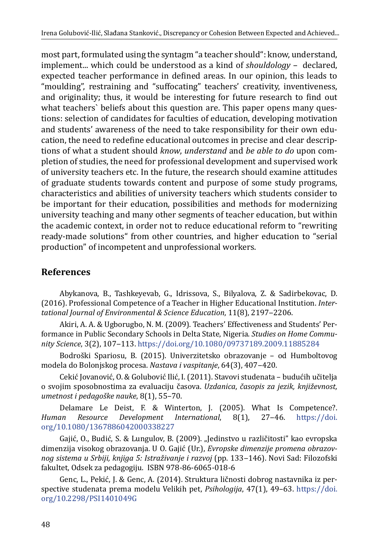most part, formulated using the syntagm "a teacher should": know, understand, implement... which could be understood as a kind of *shouldology* – declared, expected teacher performance in defined areas. In our opinion, this leads to "moulding", restraining and "suffocating" teachers' creativity, inventiveness, and originality; thus, it would be interesting for future research to find out what teachers' beliefs about this question are. This paper opens many questions: selection of candidates for faculties of education, developing motivation and students' awareness of the need to take responsibility for their own education, the need to redefine educational outcomes in precise and clear descriptions of what a student should *know*, *understand* and *be able to do* upon completion of studies, the need for professional development and supervised work of university teachers etc. In the future, the research should examine attitudes of graduate students towards content and purpose of some study programs, characteristics and abilities of university teachers which students consider to be important for their education, possibilities and methods for modernizing university teaching and many other segments of teacher education, but within the academic context, in order not to reduce educational reform to "rewriting ready-made solutions" from other countries, and higher education to "serial production" of incompetent and unprofessional workers.

# **References**

Abykanova, B., Tashkeyevab, G., Idrissova, S., Bilyalova, Z. & Sadirbekovac, D. (2016). Professional Competence of a Teacher in Higher Educational Institution. *Intertational Journal of Environmental & Science Education*, 11(8), 2197‒2206.

Akiri, A. A. & Ugborugbo, N. M. (2009). Teachers' Effectiveness and Students' Performance in Public Secondary Schools in Delta State, Nigeria. *Studies on Home Community Science*, 3(2), 107‒113.<https://doi.org/10.1080/09737189.2009.11885284>

Bodroški Spariosu, B. (2015). Univerzitetsko obrazovanje – od Humboltovog modela do Bolonjskog procesa. *Nastava i vaspitanje*, 64(3), 407‒420.

Cekić Jovanović, O. & Golubović Ilić, I. (2011). Stavovi studenata – budućih učitelјa o svojim sposobnostima za evaluaciju časova. *Uzdanica*, *časopis za jezik, književnost, umetnost i pedagoške nauke*, 8(1), 55–70.

Delamare Le Deist, F. & Winterton, J. (2005). What Is Competence?.<br>Human Resource Development International, 8(1), 27-46. https://doi. *Development International,* [org/10.1080/1367886042000338227](https://doi.org/10.1080/1367886042000338227%20)

Gajić, O., Budić, S. & Lungulov, B. (2009). "Jedinstvo u različitosti" kao evropska dimenzija visokog obrazovanja. U O. Gajić (Ur.), *Evropske dimenzije promena obrazovnog sistema u Srbiji, knjiga 5: Istraživanje i razvoj* (pp. 133‒146). Novi Sad: Filozofski fakultet, Odsek za pedagogiju. ISBN 978-86-6065-018-6

Genc, L., Pekić, J. & Genc, A. (2014). Struktura ličnosti dobrog nastavnika iz perspective studenata prema modelu Velikih pet, *Psihologija*, 47(1), 49–63. [https://doi.](https://doi.org/10.2298/PSI1401049G) [org/10.2298/PSI1401049G](https://doi.org/10.2298/PSI1401049G)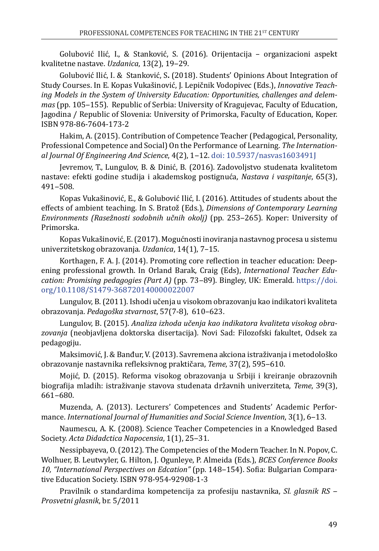Golubović Ilić, I., & Stanković, S. (2016). Orijentacija – organizacioni aspekt kvalitetne nastave. *Uzdanica*, 13(2), 19‒29.

Golubović Ilić, I. & Stanković, S**.** (2018). Students' Opinions About Integration of Study Courses. In E. Kopas Vukašinović, J. Lepičnik Vodopivec (Eds.), *Innovative Teaching Models in the System of University Education: Opportunities, challenges and delemmas* (pp. 105‒155). Republic of Serbia: University of Kragujevac, Faculty of Education, Jagodina / Republic of Slovenia: University of Primorska, Faculty of Education, Koper. ISBN 978-86-7604-173-2

Hakim, A. (2015). Contribution of Competence Teacher (Pedagogical, Personality, Professional Competence and Social) On the Performance of Learning. *The International Journal Of Engineering And Science*, 4(2), 1‒12. [doi: 10.5937/nasvas1603491J](http://doi:%2010.5937/nasvas1603491J)

Jevremov, T., Lungulov, B. & Dinić, B. (2016). Zadovoljstvo studenata kvalitetom nastave: efekti godine studija i akademskog postignuća, *Nastava i vaspitanje*, 65(3), 491‒508.

Коpas Vukašinović, E., & Golubović Ilić, I. (2016). Attitudes of students about the effects of ambient teaching. In S. Bratož (Eds.), *Dimensions of Contemporary Learning Environments (Rasežnosti sodobnih učnih okolj)* (pp. 253‒265). Koper: University of Primorska.

Kopas Vukašinović, E. (2017). Mogućnosti inoviranja nastavnog procesa u sistemu univerzitetskog obrazovanja. *Uzdanica*, 14(1), 7–15.

Korthagen, F. A. J. (2014). Promoting core reflection in teacher education: Deepening professional growth. In Orland Barak, Craig (Eds), *International Teacher Education: Promising pedagogies (Part A)* (pp. 73‒89). Bingley, UK: Emerald. [https://doi.](https://doi.org/10.1108/S1479-368720140000022007) [org/10.1108/S1479-368720140000022007](https://doi.org/10.1108/S1479-368720140000022007)

Lungulov, B. (2011). Ishodi učenja u visokom obrazovanju kao indikatori kvaliteta obrazovanja. *Pedagoška stvarnost*, 57(7-8), 610–623.

Lungulov, B. (2015). *Analiza izhoda učenja kao indikatora kvaliteta visokog obrazovanja* (neobjavljena doktorska disertacija)*.* Novi Sad: Filozofski fakultet, Odsek za pedagogiju.

Maksimović, J. & Banđur, V. (2013). Savremena akciona istraživanja i metodološko obrazovanje nastavnika refleksivnog praktičara, *Teme*, 37(2), 595‒610.

Mojić, D. (2015). Reforma visokog obrazovanja u Srbiji i kreiranje obrazovnih biografija mladih: istraživanje stavova studenata državnih univerziteta, *Teme*, 39(3), 661‒680.

Muzenda, A. (2013). Lecturers' Competences and Students' Academic Performance. *International Journal of Humanities and Social Science Invention*, 3(1), 6–13.

Naumescu, A. K. (2008). Science Teacher Competencies in a Knowledged Based Society. *Acta Didadctica Napocensia*, 1(1), 25-31.

Nessipbayeva, O. (2012). The Competencies of the Modern Teacher. In N. Popov, C. Wolhuer, B. Leutwyler, G. Hilton, J. Ogunleye, P. Almeida (Eds.), *BCES Conference Books 10, "International Perspectives on Edcation"* (pp. 148‒154). Sofia: Bulgarian Comparative Education Society. ISBN 978-954-92908-1-3

Pravilnik o standardima kompetencija za profesiju nastavnika, *Sl. glasnik RS ‒ Prosvetni glasnik*, br. 5/2011